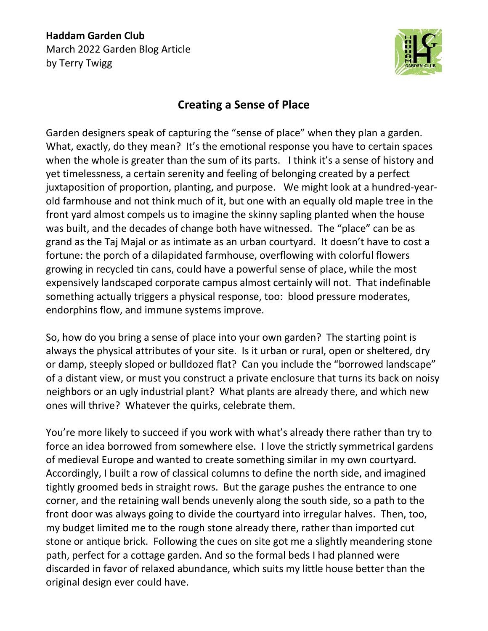**Haddam Garden Club** March 2022 Garden Blog Article by Terry Twigg



## **Creating a Sense of Place**

Garden designers speak of capturing the "sense of place" when they plan a garden. What, exactly, do they mean? It's the emotional response you have to certain spaces when the whole is greater than the sum of its parts. I think it's a sense of history and yet timelessness, a certain serenity and feeling of belonging created by a perfect juxtaposition of proportion, planting, and purpose. We might look at a hundred-yearold farmhouse and not think much of it, but one with an equally old maple tree in the front yard almost compels us to imagine the skinny sapling planted when the house was built, and the decades of change both have witnessed. The "place" can be as grand as the Taj Majal or as intimate as an urban courtyard. It doesn't have to cost a fortune: the porch of a dilapidated farmhouse, overflowing with colorful flowers growing in recycled tin cans, could have a powerful sense of place, while the most expensively landscaped corporate campus almost certainly will not. That indefinable something actually triggers a physical response, too: blood pressure moderates, endorphins flow, and immune systems improve.

So, how do you bring a sense of place into your own garden? The starting point is always the physical attributes of your site. Is it urban or rural, open or sheltered, dry or damp, steeply sloped or bulldozed flat? Can you include the "borrowed landscape" of a distant view, or must you construct a private enclosure that turns its back on noisy neighbors or an ugly industrial plant? What plants are already there, and which new ones will thrive? Whatever the quirks, celebrate them.

You're more likely to succeed if you work with what's already there rather than try to force an idea borrowed from somewhere else. I love the strictly symmetrical gardens of medieval Europe and wanted to create something similar in my own courtyard. Accordingly, I built a row of classical columns to define the north side, and imagined tightly groomed beds in straight rows. But the garage pushes the entrance to one corner, and the retaining wall bends unevenly along the south side, so a path to the front door was always going to divide the courtyard into irregular halves. Then, too, my budget limited me to the rough stone already there, rather than imported cut stone or antique brick. Following the cues on site got me a slightly meandering stone path, perfect for a cottage garden. And so the formal beds I had planned were discarded in favor of relaxed abundance, which suits my little house better than the original design ever could have.